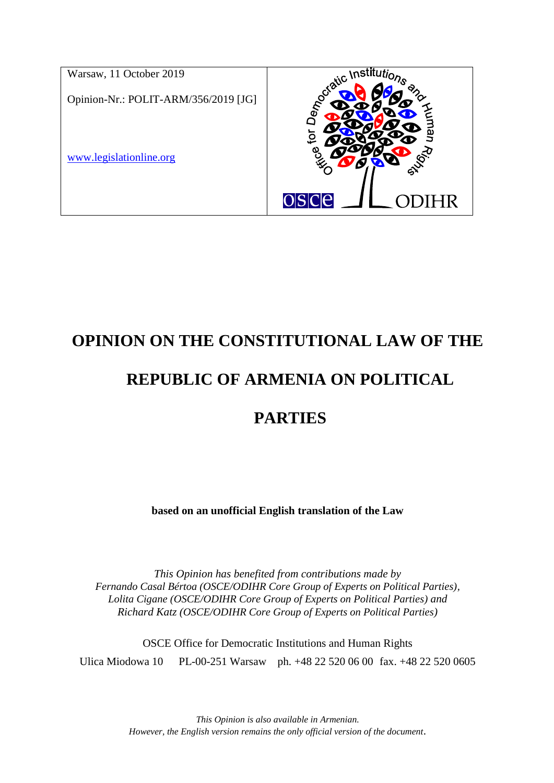

# **OPINION ON THE CONSTITUTIONAL LAW OF THE**

# **REPUBLIC OF ARMENIA ON POLITICAL**

## **PARTIES**

**based on an unofficial English translation of the Law**

*This Opinion has benefited from contributions made by Fernando Casal Bértoa (OSCE/ODIHR Core Group of Experts on Political Parties), Lolita Cigane (OSCE/ODIHR Core Group of Experts on Political Parties) and Richard Katz (OSCE/ODIHR Core Group of Experts on Political Parties)*

OSCE Office for Democratic Institutions and Human Rights Ulica Miodowa 10 PL-00-251 Warsaw ph. +48 22 520 06 00 fax. +48 22 520 0605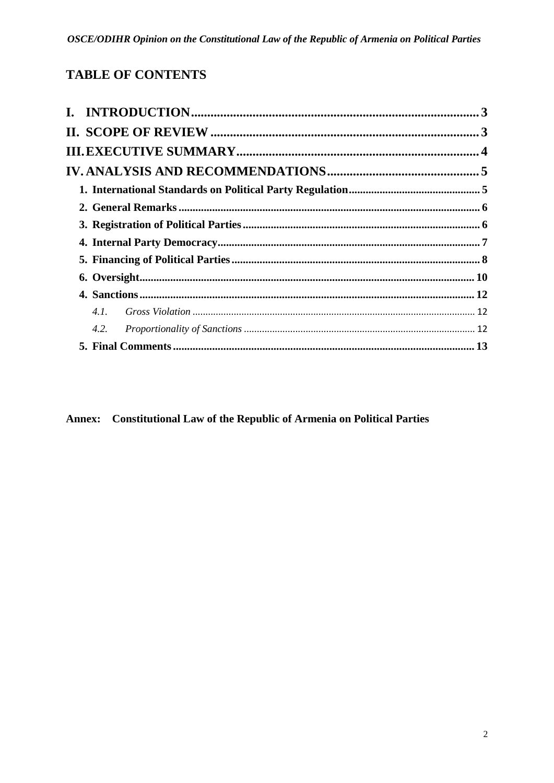## **TABLE OF CONTENTS**

| 4.2. |  |  |
|------|--|--|
|      |  |  |
|      |  |  |

Annex: Constitutional Law of the Republic of Armenia on Political Parties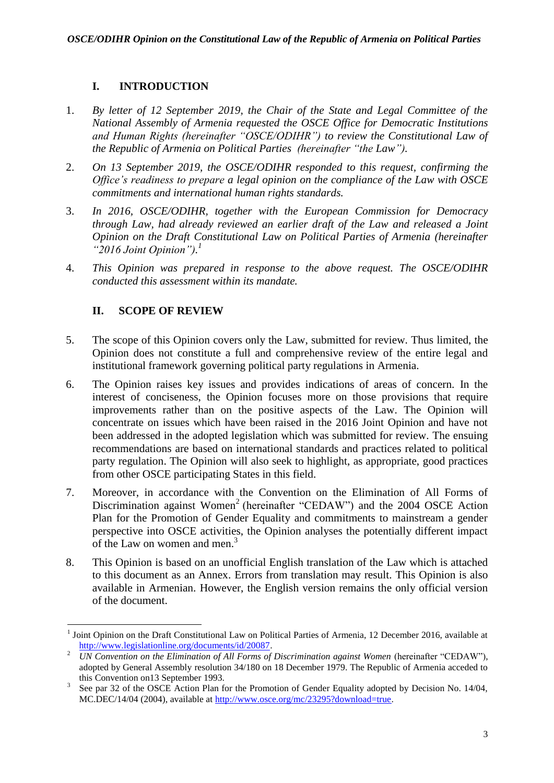## **I. INTRODUCTION**

- <span id="page-2-0"></span>1. *By letter of 12 September 2019, the Chair of the State and Legal Committee of the National Assembly of Armenia requested the OSCE Office for Democratic Institutions and Human Rights (hereinafter "OSCE/ODIHR") to review the Constitutional Law of the Republic of Armenia on Political Parties (hereinafter "the Law").*
- 2. *On 13 September 2019, the OSCE/ODIHR responded to this request, confirming the Office's readiness to prepare a legal opinion on the compliance of the Law with OSCE commitments and international human rights standards.*
- 3. *In 2016, OSCE/ODIHR, together with the European Commission for Democracy through Law, had already reviewed an earlier draft of the Law and released a Joint Opinion on the Draft Constitutional Law on Political Parties of Armenia (hereinafter "2016 Joint Opinion"). 1*
- <span id="page-2-1"></span>4. *This Opinion was prepared in response to the above request. The OSCE/ODIHR conducted this assessment within its mandate.*

## **II. SCOPE OF REVIEW**

- 5. The scope of this Opinion covers only the Law, submitted for review. Thus limited, the Opinion does not constitute a full and comprehensive review of the entire legal and institutional framework governing political party regulations in Armenia.
- 6. The Opinion raises key issues and provides indications of areas of concern. In the interest of conciseness, the Opinion focuses more on those provisions that require improvements rather than on the positive aspects of the Law. The Opinion will concentrate on issues which have been raised in the 2016 Joint Opinion and have not been addressed in the adopted legislation which was submitted for review. The ensuing recommendations are based on international standards and practices related to political party regulation. The Opinion will also seek to highlight, as appropriate, good practices from other OSCE participating States in this field.
- 7. Moreover, in accordance with the Convention on the Elimination of All Forms of Discrimination against Women<sup>2</sup> (hereinafter "CEDAW") and the 2004 OSCE Action Plan for the Promotion of Gender Equality and commitments to mainstream a gender perspective into OSCE activities, the Opinion analyses the potentially different impact of the Law on women and men.<sup>3</sup>
- 8. This Opinion is based on an unofficial English translation of the Law which is attached to this document as an Annex. Errors from translation may result. This Opinion is also available in Armenian. However, the English version remains the only official version of the document.

**<sup>.</sup>** <sup>1</sup> Joint Opinion on the Draft Constitutional Law on Political Parties of Armenia, 12 December 2016, available at [http://www.legislationline.org/documents/id/20087.](http://www.legislationline.org/documents/id/20087)

<sup>2</sup> *UN Convention on the Elimination of All Forms of Discrimination against Women* (hereinafter "CEDAW"), adopted by General Assembly resolution 34/180 on 18 December 1979. The Republic of Armenia acceded to this Convention on13 September 1993.

<sup>3</sup> See par 32 of the OSCE Action Plan for the Promotion of Gender Equality adopted by Decision No. 14/04, MC.DEC/14/04 (2004), available at [http://www.osce.org/mc/23295?download=true.](http://www.osce.org/mc/23295?download=true)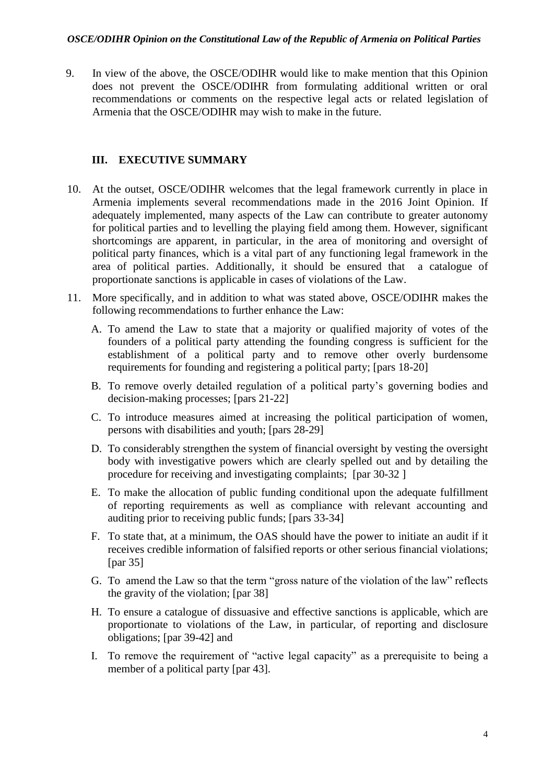9. In view of the above, the OSCE/ODIHR would like to make mention that this Opinion does not prevent the OSCE/ODIHR from formulating additional written or oral recommendations or comments on the respective legal acts or related legislation of Armenia that the OSCE/ODIHR may wish to make in the future.

## <span id="page-3-0"></span>**III. EXECUTIVE SUMMARY**

- 10. At the outset, OSCE/ODIHR welcomes that the legal framework currently in place in Armenia implements several recommendations made in the 2016 Joint Opinion. If adequately implemented, many aspects of the Law can contribute to greater autonomy for political parties and to levelling the playing field among them. However, significant shortcomings are apparent, in particular, in the area of monitoring and oversight of political party finances, which is a vital part of any functioning legal framework in the area of political parties. Additionally, it should be ensured that a catalogue of proportionate sanctions is applicable in cases of violations of the Law.
- 11. More specifically, and in addition to what was stated above, OSCE/ODIHR makes the following recommendations to further enhance the Law:
	- A. To amend the Law to state that a majority or qualified majority of votes of the founders of a political party attending the founding congress is sufficient for the establishment of a political party and to remove other overly burdensome requirements for founding and registering a political party; [pars 18-20]
	- B. To remove overly detailed regulation of a political party's governing bodies and decision-making processes; [pars 21-22]
	- C. To introduce measures aimed at increasing the political participation of women, persons with disabilities and youth; [pars 28-29]
	- D. To considerably strengthen the system of financial oversight by vesting the oversight body with investigative powers which are clearly spelled out and by detailing the procedure for receiving and investigating complaints; [par 30-32 ]
	- E. To make the allocation of public funding conditional upon the adequate fulfillment of reporting requirements as well as compliance with relevant accounting and auditing prior to receiving public funds; [pars 33-34]
	- F. To state that, at a minimum, the OAS should have the power to initiate an audit if it receives credible information of falsified reports or other serious financial violations; [par 35]
	- G. To amend the Law so that the term "gross nature of the violation of the law" reflects the gravity of the violation; [par 38]
	- H. To ensure a catalogue of dissuasive and effective sanctions is applicable, which are proportionate to violations of the Law, in particular, of reporting and disclosure obligations; [par 39-42] and
	- I. To remove the requirement of "active legal capacity" as a prerequisite to being a member of a political party [par 43].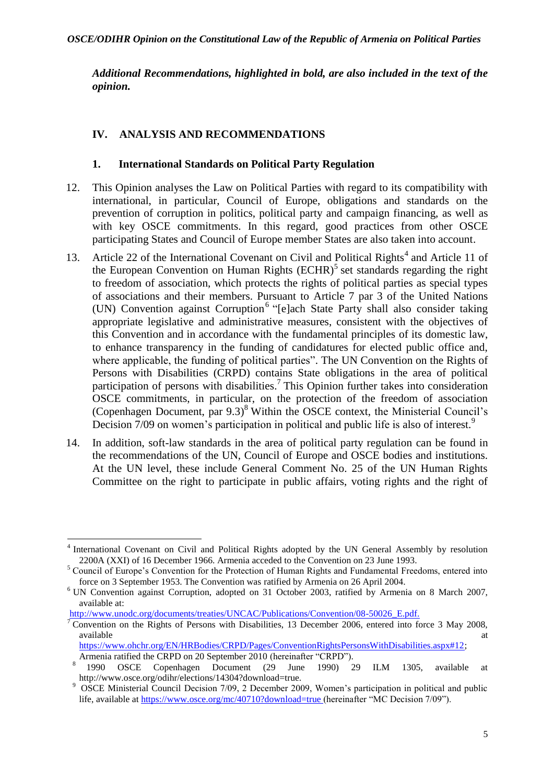*Additional Recommendations, highlighted in bold, are also included in the text of the opinion.*

## <span id="page-4-0"></span>**IV. ANALYSIS AND RECOMMENDATIONS**

### <span id="page-4-1"></span>**1. International Standards on Political Party Regulation**

- 12. This Opinion analyses the Law on Political Parties with regard to its compatibility with international, in particular, Council of Europe, obligations and standards on the prevention of corruption in politics, political party and campaign financing, as well as with key OSCE commitments. In this regard, good practices from other OSCE participating States and Council of Europe member States are also taken into account.
- 13. Article 22 of the International Covenant on Civil and Political Rights<sup>4</sup> and Article 11 of the European Convention on Human Rights  $(ECHR)^5$  set standards regarding the right to freedom of association, which protects the rights of political parties as special types of associations and their members. Pursuant to Article 7 par 3 of the United Nations (UN) Convention against Corruption<sup>6</sup> "[e]ach State Party shall also consider taking appropriate legislative and administrative measures, consistent with the objectives of this Convention and in accordance with the fundamental principles of its domestic law, to enhance transparency in the funding of candidatures for elected public office and, where applicable, the funding of political parties". The UN Convention on the Rights of Persons with Disabilities (CRPD) contains State obligations in the area of political participation of persons with disabilities.<sup>7</sup> This Opinion further takes into consideration OSCE commitments, in particular, on the protection of the freedom of association (Copenhagen Document, par 9.3) <sup>8</sup> Within the OSCE context, the Ministerial Council's Decision 7/09 on women's participation in political and public life is also of interest.<sup>9</sup>
- 14. In addition, soft-law standards in the area of political party regulation can be found in the recommendations of the UN, Council of Europe and OSCE bodies and institutions. At the UN level, these include General Comment No. 25 of the UN Human Rights Committee on the right to participate in public affairs, voting rights and the right of

1

<sup>4</sup> International Covenant on Civil and Political Rights adopted by the UN General Assembly by resolution 2200A (XXI) of 16 December 1966. Armenia acceded to the Convention on 23 June 1993.

<sup>5</sup> Council of Europe's Convention for the Protection of Human Rights and Fundamental Freedoms, entered into force on 3 September 1953. The Convention was ratified by Armenia on 26 April 2004.

<sup>6</sup> UN Convention against Corruption, adopted on 31 October 2003, ratified by Armenia on 8 March 2007, available at:

[http://www.unodc.org/documents/treaties/UNCAC/Publications/Convention/08-50026\\_E.pdf.](http://www.unodc.org/documents/treaties/UNCAC/Publications/Convention/08-50026_E.pdf)

<sup>&</sup>lt;sup>7</sup> Convention on the Rights of Persons with Disabilities, 13 December 2006, entered into force 3 May 2008, available at the contract of the contract of the contract of the contract of the contract of the contract of the contract of the contract of the contract of the contract of the contract of the contract of the contract of t

[https://www.ohchr.org/EN/HRBodies/CRPD/Pages/ConventionRightsPersonsWithDisabilities.aspx#12;](https://www.ohchr.org/EN/HRBodies/CRPD/Pages/ConventionRightsPersonsWithDisabilities.aspx#12) Armenia ratified the CRPD on 20 September 2010 (hereinafter "CRPD").

<sup>8</sup> 1990 OSCE Copenhagen Document (29 June 1990) 29 ILM 1305, available at http://www.osce.org/odihr/elections/14304?download=true.

<sup>&</sup>lt;sup>9</sup> OSCE Ministerial Council Decision 7/09, 2 December 2009, Women's participation in political and public life, available a[t https://www.osce.org/mc/40710?download=true](https://www.osce.org/mc/40710?download=true) (hereinafter "MC Decision 7/09").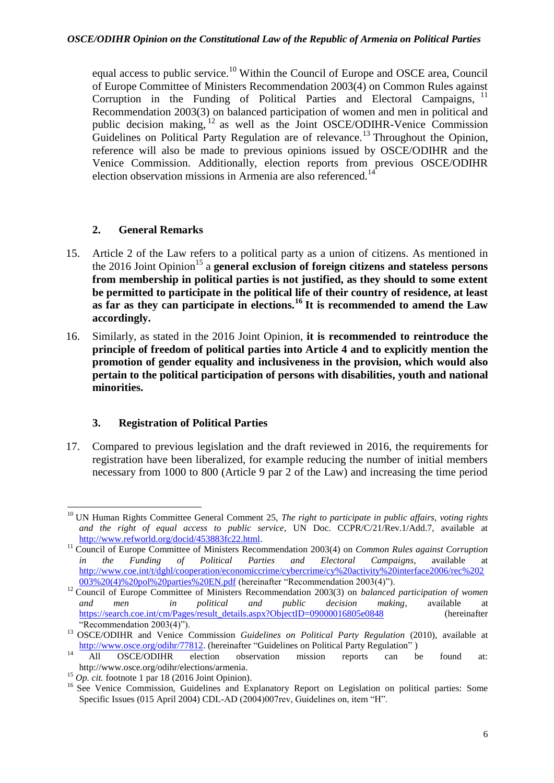equal access to public service.<sup>10</sup> Within the Council of Europe and OSCE area, Council of Europe Committee of Ministers Recommendation 2003(4) on Common Rules against Corruption in the Funding of Political Parties and Electoral Campaigns, <sup>11</sup> Recommendation 2003(3) on balanced participation of women and men in political and public decision making,  $^{12}$  as well as the Joint OSCE/ODIHR-Venice Commission Guidelines on Political Party Regulation are of relevance.<sup>13</sup> Throughout the Opinion, reference will also be made to previous opinions issued by OSCE/ODIHR and the Venice Commission. Additionally, election reports from previous OSCE/ODIHR election observation missions in Armenia are also referenced.<sup>14</sup>

## <span id="page-5-0"></span>**2. General Remarks**

- 15. Article 2 of the Law refers to a political party as a union of citizens. As mentioned in the 2016 Joint Opinion<sup>15</sup> a **general exclusion of foreign citizens and stateless persons from membership in political parties is not justified, as they should to some extent be permitted to participate in the political life of their country of residence, at least as far as they can participate in elections.<sup>16</sup> It is recommended to amend the Law accordingly.**
- 16. Similarly, as stated in the 2016 Joint Opinion, **it is recommended to reintroduce the principle of freedom of political parties into Article 4 and to explicitly mention the promotion of gender equality and inclusiveness in the provision, which would also pertain to the political participation of persons with disabilities, youth and national minorities.**

## <span id="page-5-1"></span>**3. Registration of Political Parties**

17. Compared to previous legislation and the draft reviewed in 2016, the requirements for registration have been liberalized, for example reducing the number of initial members necessary from 1000 to 800 (Article 9 par 2 of the Law) and increasing the time period

<sup>1</sup> <sup>10</sup> UN Human Rights Committee General Comment 25, *The right to participate in public affairs, voting rights and the right of equal access to public service*, UN Doc. CCPR/C/21/Rev.1/Add.7, available at [http://www.refworld.org/docid/453883fc22.html.](http://www.refworld.org/docid/453883fc22.html/)

<sup>11</sup> Council of Europe Committee of Ministers Recommendation 2003(4) on *Common Rules against Corruption in the Funding of Political Parties and Electoral Campaigns*, available at [http://www.coe.int/t/dghl/cooperation/economiccrime/cybercrime/cy%20activity%20interface2006/rec%202](http://www.coe.int/t/dghl/cooperation/economiccrime/cybercrime/cy%20activity%20interface2006/rec%202003%20(4)%20pol%20parties%20EN.pdf) [003%20\(4\)%20pol%20parties%20EN.pdf](http://www.coe.int/t/dghl/cooperation/economiccrime/cybercrime/cy%20activity%20interface2006/rec%202003%20(4)%20pol%20parties%20EN.pdf) (hereinafter "Recommendation 2003(4)").

<sup>&</sup>lt;sup>12</sup> Council of Europe Committee of Ministers Recommendation 2003(3) on *balanced participation of women and men in political and public decision making*, available at [https://search.coe.int/cm/Pages/result\\_details.aspx?ObjectID=09000016805e0848](https://search.coe.int/cm/Pages/result_details.aspx?ObjectID=09000016805e0848) (hereinafter "Recommendation 2003(4)").

<sup>&</sup>lt;sup>13</sup> OSCE/ODIHR and Venice Commission *Guidelines on Political Party Regulation* (2010), available at [http://www.osce.org/odihr/77812.](http://www.osce.org/odihr/77812) (hereinafter "Guidelines on Political Party Regulation")

<sup>&</sup>lt;sup>14</sup> All OSCE/ODIHR election observation mission reports can be found at: http://www.osce.org/odihr/elections/armenia.

 $^{15}$  *Op. cit.* footnote 1 par 18 (2016 Joint Opinion).

<sup>&</sup>lt;sup>16</sup> See Venice Commission, Guidelines and Explanatory Report on Legislation on political parties: Some Specific Issues (015 April 2004) CDL-AD (2004)007rev, Guidelines on, item "H".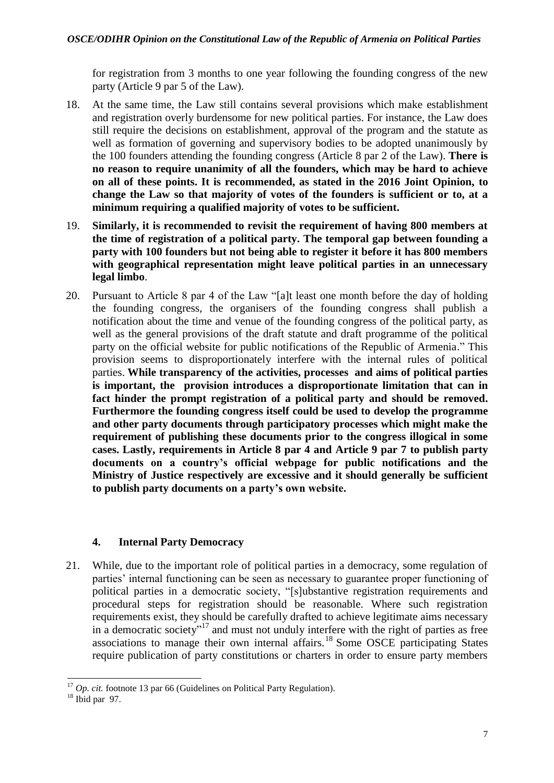for registration from 3 months to one year following the founding congress of the new party (Article 9 par 5 of the Law).

- 18. At the same time, the Law still contains several provisions which make establishment and registration overly burdensome for new political parties. For instance, the Law does still require the decisions on establishment, approval of the program and the statute as well as formation of governing and supervisory bodies to be adopted unanimously by the 100 founders attending the founding congress (Article 8 par 2 of the Law). **There is no reason to require unanimity of all the founders, which may be hard to achieve on all of these points. It is recommended, as stated in the 2016 Joint Opinion, to change the Law so that majority of votes of the founders is sufficient or to, at a minimum requiring a qualified majority of votes to be sufficient.**
- 19. **Similarly, it is recommended to revisit the requirement of having 800 members at the time of registration of a political party. The temporal gap between founding a party with 100 founders but not being able to register it before it has 800 members with geographical representation might leave political parties in an unnecessary legal limbo**.
- 20. Pursuant to Article 8 par 4 of the Law "[a]t least one month before the day of holding the founding congress, the organisers of the founding congress shall publish a notification about the time and venue of the founding congress of the political party, as well as the general provisions of the draft statute and draft programme of the political party on the official website for public notifications of the Republic of Armenia." This provision seems to disproportionately interfere with the internal rules of political parties. **While transparency of the activities, processes and aims of political parties is important, the provision introduces a disproportionate limitation that can in fact hinder the prompt registration of a political party and should be removed. Furthermore the founding congress itself could be used to develop the programme and other party documents through participatory processes which might make the requirement of publishing these documents prior to the congress illogical in some cases. Lastly, requirements in Article 8 par 4 and Article 9 par 7 to publish party documents on a country's official webpage for public notifications and the Ministry of Justice respectively are excessive and it should generally be sufficient to publish party documents on a party's own website.**

## <span id="page-6-0"></span>**4. Internal Party Democracy**

21. While, due to the important role of political parties in a democracy, some regulation of parties' internal functioning can be seen as necessary to guarantee proper functioning of political parties in a democratic society, "[s]ubstantive registration requirements and procedural steps for registration should be reasonable. Where such registration requirements exist, they should be carefully drafted to achieve legitimate aims necessary in a democratic society"<sup>17</sup> and must not unduly interfere with the right of parties as free associations to manage their own internal affairs.<sup>18</sup> Some OSCE participating States require publication of party constitutions or charters in order to ensure party members

<sup>1</sup>  $17$  *Op. cit.* footnote 13 par 66 (Guidelines on Political Party Regulation).

 $18$  Ibid par 97.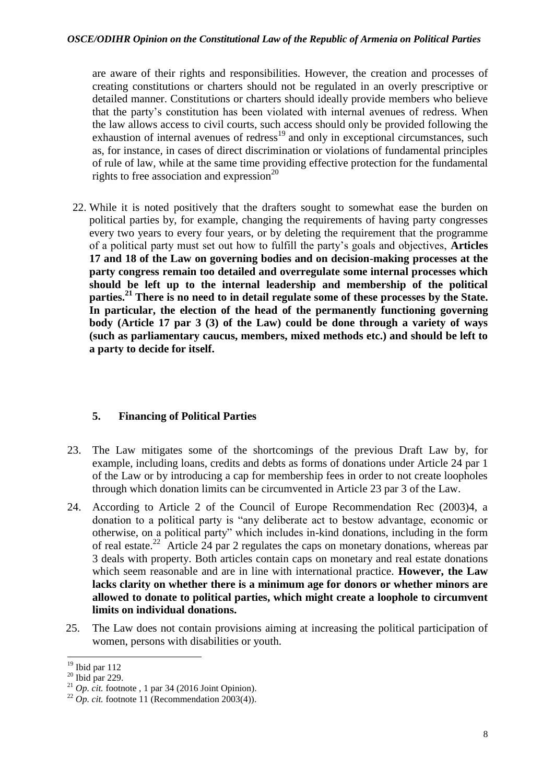are aware of their rights and responsibilities. However, the creation and processes of creating constitutions or charters should not be regulated in an overly prescriptive or detailed manner. Constitutions or charters should ideally provide members who believe that the party's constitution has been violated with internal avenues of redress. When the law allows access to civil courts, such access should only be provided following the exhaustion of internal avenues of redress $19$  and only in exceptional circumstances, such as, for instance, in cases of direct discrimination or violations of fundamental principles of rule of law, while at the same time providing effective protection for the fundamental rights to free association and expression $^{20}$ 

22. While it is noted positively that the drafters sought to somewhat ease the burden on political parties by, for example, changing the requirements of having party congresses every two years to every four years, or by deleting the requirement that the programme of a political party must set out how to fulfill the party's goals and objectives, **Articles 17 and 18 of the Law on governing bodies and on decision-making processes at the party congress remain too detailed and overregulate some internal processes which should be left up to the internal leadership and membership of the political parties.<sup>21</sup> There is no need to in detail regulate some of these processes by the State. In particular, the election of the head of the permanently functioning governing body (Article 17 par 3 (3) of the Law) could be done through a variety of ways (such as parliamentary caucus, members, mixed methods etc.) and should be left to a party to decide for itself.** 

## <span id="page-7-0"></span>**5. Financing of Political Parties**

- 23. The Law mitigates some of the shortcomings of the previous Draft Law by, for example, including loans, credits and debts as forms of donations under Article 24 par 1 of the Law or by introducing a cap for membership fees in order to not create loopholes through which donation limits can be circumvented in Article 23 par 3 of the Law.
- 24. According to Article 2 of the Council of Europe Recommendation Rec (2003)4, a donation to a political party is "any deliberate act to bestow advantage, economic or otherwise, on a political party" which includes in-kind donations, including in the form of real estate.<sup>22</sup> Article 24 par 2 regulates the caps on monetary donations, whereas par 3 deals with property. Both articles contain caps on monetary and real estate donations which seem reasonable and are in line with international practice. **However, the Law lacks clarity on whether there is a minimum age for donors or whether minors are allowed to donate to political parties, which might create a loophole to circumvent limits on individual donations.**
- 25. The Law does not contain provisions aiming at increasing the political participation of women, persons with disabilities or youth.

**<sup>.</sup>**  $19$  Ibid par 112

 $20$  Ibid par 229.

 $^{21}$  *Op. cit.* footnote, 1 par 34 (2016 Joint Opinion).

<sup>&</sup>lt;sup>22</sup>  $Op.$  *cit.* footnote 11 (Recommendation 2003(4)).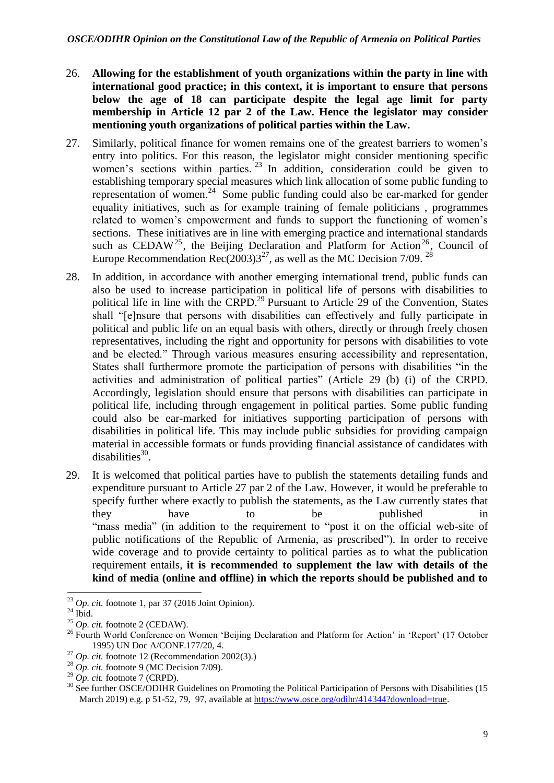- 26. **Allowing for the establishment of youth organizations within the party in line with international good practice; in this context, it is important to ensure that persons below the age of 18 can participate despite the legal age limit for party membership in Article 12 par 2 of the Law. Hence the legislator may consider mentioning youth organizations of political parties within the Law.**
- 27. Similarly, political finance for women remains one of the greatest barriers to women's entry into politics. For this reason, the legislator might consider mentioning specific women's sections within parties.  $^{23}$  In addition, consideration could be given to establishing temporary special measures which link allocation of some public funding to representation of women.<sup>24</sup> Some public funding could also be ear-marked for gender equality initiatives, such as for example training of female politicians , programmes related to women's empowerment and funds to support the functioning of women's sections. These initiatives are in line with emerging practice and international standards such as CEDAW<sup>25</sup>, the Beijing Declaration and Platform for Action<sup>26</sup>, Council of Europe Recommendation Rec(2003)3<sup>27</sup>, as well as the MC Decision 7/09. <sup>28</sup>
- 28. In addition, in accordance with another emerging international trend, public funds can also be used to increase participation in political life of persons with disabilities to political life in line with the CRPD.<sup>29</sup> Pursuant to Article 29 of the Convention, States shall "[e]nsure that persons with disabilities can effectively and fully participate in political and public life on an equal basis with others, directly or through freely chosen representatives, including the right and opportunity for persons with disabilities to vote and be elected." Through various measures ensuring accessibility and representation, States shall furthermore promote the participation of persons with disabilities "in the activities and administration of political parties" (Article 29 (b) (i) of the CRPD. Accordingly, legislation should ensure that persons with disabilities can participate in political life, including through engagement in political parties. Some public funding could also be ear-marked for initiatives supporting participation of persons with disabilities in political life. This may include public subsidies for providing campaign material in accessible formats or funds providing financial assistance of candidates with disabilities $^{30}$ .
- 29. It is welcomed that political parties have to publish the statements detailing funds and expenditure pursuant to Article 27 par 2 of the Law. However, it would be preferable to specify further where exactly to publish the statements, as the Law currently states that they have to be published "mass media" (in addition to the requirement to "post it on the official web-site of public notifications of the Republic of Armenia, as prescribed"). In order to receive wide coverage and to provide certainty to political parties as to what the publication requirement entails, **it is recommended to supplement the law with details of the kind of media (online and offline) in which the reports should be published and to**

**<sup>.</sup>**  $^{23}$  *Op. cit.* footnote 1, par 37 (2016 Joint Opinion).

 $24$  Ibid.

<sup>25</sup> *Op. cit.* footnote 2 (CEDAW).

<sup>&</sup>lt;sup>26</sup> Fourth World Conference on Women 'Beijing Declaration and Platform for Action' in 'Report' (17 October 1995) UN Doc A/CONF.177/20, 4.

<sup>27</sup> *Op. cit.* footnote 12 (Recommendation 2002(3).)

 $^{28}$  Op. cit. footnote 9 (MC Decision 7/09).

 $^{29}$  *Op. cit.* footnote 7 (CRPD).

<sup>&</sup>lt;sup>30</sup> See further OSCE/ODIHR Guidelines on Promoting the Political Participation of Persons with Disabilities (15 March 2019) e.g. p 51-52, 79, 97, available at https://www.osce.org/odihr/414344?download=true.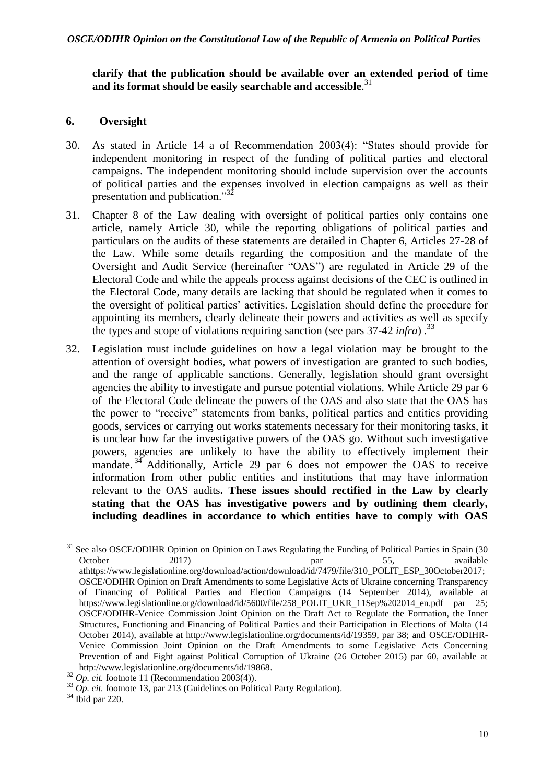#### **clarify that the publication should be available over an extended period of time and its format should be easily searchable and accessible**. 31

### <span id="page-9-0"></span>**6. Oversight**

- 30. As stated in Article 14 a of Recommendation 2003(4): "States should provide for independent monitoring in respect of the funding of political parties and electoral campaigns. The independent monitoring should include supervision over the accounts of political parties and the expenses involved in election campaigns as well as their presentation and publication."<sup>32</sup>
- 31. Chapter 8 of the Law dealing with oversight of political parties only contains one article, namely Article 30, while the reporting obligations of political parties and particulars on the audits of these statements are detailed in Chapter 6, Articles 27-28 of the Law. While some details regarding the composition and the mandate of the Oversight and Audit Service (hereinafter "OAS") are regulated in Article 29 of the Electoral Code and while the appeals process against decisions of the CEC is outlined in the Electoral Code, many details are lacking that should be regulated when it comes to the oversight of political parties' activities. Legislation should define the procedure for appointing its members, clearly delineate their powers and activities as well as specify the types and scope of violations requiring sanction (see pars 37-42 *infra*) . 33
- 32. Legislation must include guidelines on how a legal violation may be brought to the attention of oversight bodies, what powers of investigation are granted to such bodies, and the range of applicable sanctions. Generally, legislation should grant oversight agencies the ability to investigate and pursue potential violations. While Article 29 par 6 of the Electoral Code delineate the powers of the OAS and also state that the OAS has the power to "receive" statements from banks, political parties and entities providing goods, services or carrying out works statements necessary for their monitoring tasks, it is unclear how far the investigative powers of the OAS go. Without such investigative powers, agencies are unlikely to have the ability to effectively implement their mandate.<sup>34</sup> Additionally, Article 29 par 6 does not empower the OAS to receive information from other public entities and institutions that may have information relevant to the OAS audits**. These issues should rectified in the Law by clearly stating that the OAS has investigative powers and by outlining them clearly, including deadlines in accordance to which entities have to comply with OAS**

1

<sup>&</sup>lt;sup>31</sup> See also OSCE/ODIHR Opinion on Opinion on Laws Regulating the Funding of Political Parties in Spain (30 October 2017) par 55, available athttps://www.legislationline.org/download/action/download/id/7479/file/310\_POLIT\_ESP\_30October2017; OSCE/ODIHR Opinion on Draft Amendments to some Legislative Acts of Ukraine concerning Transparency of Financing of Political Parties and Election Campaigns (14 September 2014), available at https://www.legislationline.org/download/id/5600/file/258\_POLIT\_UKR\_11Sep%202014\_en.pdf par 25; OSCE/ODIHR-Venice Commission Joint Opinion on the Draft Act to Regulate the Formation, the Inner Structures, Functioning and Financing of Political Parties and their Participation in Elections of Malta (14 October 2014), available at http://www.legislationline.org/documents/id/19359, par 38; and OSCE/ODIHR-Venice Commission Joint Opinion on the Draft Amendments to some Legislative Acts Concerning Prevention of and Fight against Political Corruption of Ukraine (26 October 2015) par 60, available at http://www.legislationline.org/documents/id/19868.

 $32$  *Op. cit.* footnote 11 (Recommendation 2003(4)).

 $33$   $Op.$  *cit.* footnote 13, par 213 (Guidelines on Political Party Regulation).

 $34$  Ibid par 220.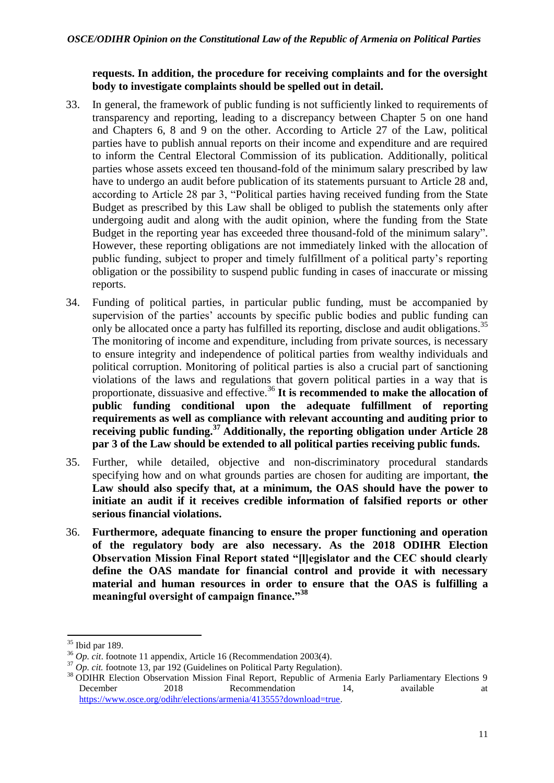### **requests. In addition, the procedure for receiving complaints and for the oversight body to investigate complaints should be spelled out in detail.**

- 33. In general, the framework of public funding is not sufficiently linked to requirements of transparency and reporting, leading to a discrepancy between Chapter 5 on one hand and Chapters 6, 8 and 9 on the other. According to Article 27 of the Law, political parties have to publish annual reports on their income and expenditure and are required to inform the Central Electoral Commission of its publication. Additionally, political parties whose assets exceed ten thousand-fold of the minimum salary prescribed by law have to undergo an audit before publication of its statements pursuant to Article 28 and, according to Article 28 par 3, "Political parties having received funding from the State Budget as prescribed by this Law shall be obliged to publish the statements only after undergoing audit and along with the audit opinion, where the funding from the State Budget in the reporting year has exceeded three thousand-fold of the minimum salary". However, these reporting obligations are not immediately linked with the allocation of public funding, subject to proper and timely fulfillment of a political party's reporting obligation or the possibility to suspend public funding in cases of inaccurate or missing reports.
- 34. Funding of political parties, in particular public funding, must be accompanied by supervision of the parties' accounts by specific public bodies and public funding can only be allocated once a party has fulfilled its reporting, disclose and audit obligations.<sup>35</sup> The monitoring of income and expenditure, including from private sources, is necessary to ensure integrity and independence of political parties from wealthy individuals and political corruption. Monitoring of political parties is also a crucial part of sanctioning violations of the laws and regulations that govern political parties in a way that is proportionate, dissuasive and effective.<sup>36</sup> It is recommended to make the allocation of **public funding conditional upon the adequate fulfillment of reporting requirements as well as compliance with relevant accounting and auditing prior to receiving public funding. <sup>37</sup> Additionally, the reporting obligation under Article 28 par 3 of the Law should be extended to all political parties receiving public funds.**
- 35. Further, while detailed, objective and non-discriminatory procedural standards specifying how and on what grounds parties are chosen for auditing are important, **the Law should also specify that, at a minimum, the OAS should have the power to initiate an audit if it receives credible information of falsified reports or other serious financial violations.**
- 36. **Furthermore, adequate financing to ensure the proper functioning and operation of the regulatory body are also necessary. As the 2018 ODIHR Election Observation Mission Final Report stated "[l]egislator and the CEC should clearly define the OAS mandate for financial control and provide it with necessary material and human resources in order to ensure that the OAS is fulfilling a meaningful oversight of campaign finance."<sup>38</sup>**

1

 $35$  Ibid par 189.

<sup>36</sup> *Op. cit*. footnote 11 appendix, Article 16 (Recommendation 2003(4).

<sup>&</sup>lt;sup>37</sup> *Op. cit.* footnote 13, par 192 (Guidelines on Political Party Regulation).

<sup>&</sup>lt;sup>38</sup> ODIHR Election Observation Mission Final Report, Republic of Armenia Early Parliamentary Elections 9 December 2018 Recommendation 14, available at [https://www.osce.org/odihr/elections/armenia/413555?download=true.](https://www.osce.org/odihr/elections/armenia/413555?download=true)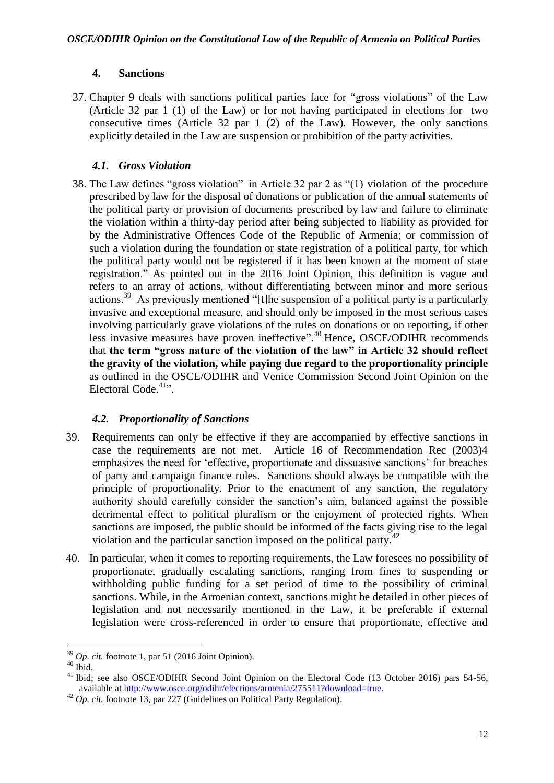## **4. Sanctions**

<span id="page-11-0"></span>37. Chapter 9 deals with sanctions political parties face for "gross violations" of the Law (Article 32 par 1 (1) of the Law) or for not having participated in elections for two consecutive times (Article 32 par  $1 \text{ (2)}$  of the Law). However, the only sanctions explicitly detailed in the Law are suspension or prohibition of the party activities.

## <span id="page-11-1"></span>*4.1. Gross Violation*

38. The Law defines "gross violation" in Article 32 par 2 as "(1) violation of the procedure prescribed by law for the disposal of donations or publication of the annual statements of the political party or provision of documents prescribed by law and failure to eliminate the violation within a thirty-day period after being subjected to liability as provided for by the Administrative Offences Code of the Republic of Armenia; or commission of such a violation during the foundation or state registration of a political party, for which the political party would not be registered if it has been known at the moment of state registration." As pointed out in the 2016 Joint Opinion, this definition is vague and refers to an array of actions, without differentiating between minor and more serious actions.<sup>39</sup> As previously mentioned "[t]he suspension of a political party is a particularly invasive and exceptional measure, and should only be imposed in the most serious cases involving particularly grave violations of the rules on donations or on reporting, if other less invasive measures have proven ineffective".<sup>40</sup> Hence, OSCE/ODIHR recommends that **the term "gross nature of the violation of the law" in Article 32 should reflect the gravity of the violation, while paying due regard to the proportionality principle** as outlined in the OSCE/ODIHR and Venice Commission Second Joint Opinion on the Electoral Code.<sup>41</sup>".

## *4.2. Proportionality of Sanctions*

- <span id="page-11-2"></span>39. Requirements can only be effective if they are accompanied by effective sanctions in case the requirements are not met. Article 16 of Recommendation Rec (2003)4 emphasizes the need for 'effective, proportionate and dissuasive sanctions' for breaches of party and campaign finance rules. Sanctions should always be compatible with the principle of proportionality. Prior to the enactment of any sanction, the regulatory authority should carefully consider the sanction's aim, balanced against the possible detrimental effect to political pluralism or the enjoyment of protected rights. When sanctions are imposed, the public should be informed of the facts giving rise to the legal violation and the particular sanction imposed on the political party.<sup>42</sup>
- 40. In particular, when it comes to reporting requirements, the Law foresees no possibility of proportionate, gradually escalating sanctions, ranging from fines to suspending or withholding public funding for a set period of time to the possibility of criminal sanctions. While, in the Armenian context, sanctions might be detailed in other pieces of legislation and not necessarily mentioned in the Law, it be preferable if external legislation were cross-referenced in order to ensure that proportionate, effective and

**<sup>.</sup>** <sup>39</sup> *Op. cit.* footnote 1, par 51 (2016 Joint Opinion).

 $40$  Ibid.

<sup>&</sup>lt;sup>41</sup> Ibid; see also OSCE/ODIHR Second Joint Opinion on the Electoral Code (13 October 2016) pars 54-56, available at [http://www.osce.org/odihr/elections/armenia/275511?download=true.](http://www.osce.org/odihr/elections/armenia/275511?download=true)

<sup>42</sup> *Op. cit.* footnote 13, par 227 (Guidelines on Political Party Regulation).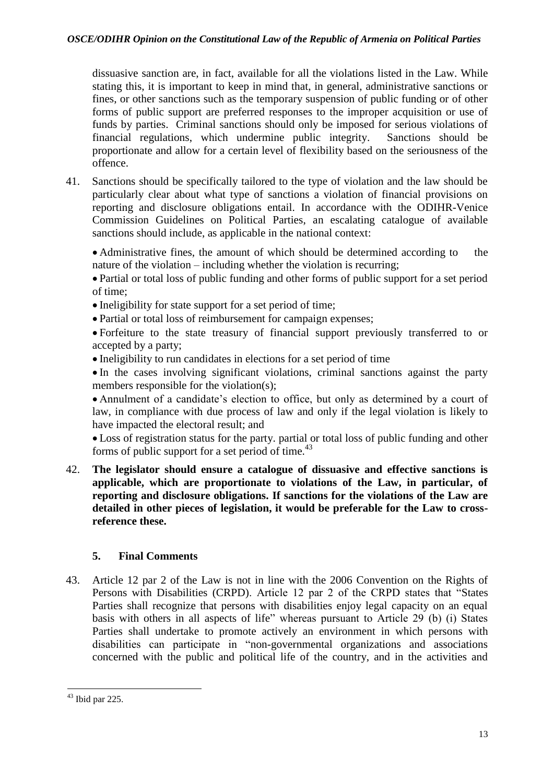dissuasive sanction are, in fact, available for all the violations listed in the Law. While stating this, it is important to keep in mind that, in general, administrative sanctions or fines, or other sanctions such as the temporary suspension of public funding or of other forms of public support are preferred responses to the improper acquisition or use of funds by parties. Criminal sanctions should only be imposed for serious violations of financial regulations, which undermine public integrity. Sanctions should be proportionate and allow for a certain level of flexibility based on the seriousness of the offence.

41. Sanctions should be specifically tailored to the type of violation and the law should be particularly clear about what type of sanctions a violation of financial provisions on reporting and disclosure obligations entail. In accordance with the ODIHR-Venice Commission Guidelines on Political Parties, an escalating catalogue of available sanctions should include, as applicable in the national context:

• Administrative fines, the amount of which should be determined according to the nature of the violation – including whether the violation is recurring;

 Partial or total loss of public funding and other forms of public support for a set period of time;

- Ineligibility for state support for a set period of time;
- Partial or total loss of reimbursement for campaign expenses;

 Forfeiture to the state treasury of financial support previously transferred to or accepted by a party;

Ineligibility to run candidates in elections for a set period of time

 In the cases involving significant violations, criminal sanctions against the party members responsible for the violation(s);

 Annulment of a candidate's election to office, but only as determined by a court of law, in compliance with due process of law and only if the legal violation is likely to have impacted the electoral result; and

 Loss of registration status for the party. partial or total loss of public funding and other forms of public support for a set period of time. $43$ 

42. **The legislator should ensure a catalogue of dissuasive and effective sanctions is applicable, which are proportionate to violations of the Law, in particular, of reporting and disclosure obligations. If sanctions for the violations of the Law are detailed in other pieces of legislation, it would be preferable for the Law to crossreference these.**

## <span id="page-12-0"></span>**5. Final Comments**

43. Article 12 par 2 of the Law is not in line with the 2006 Convention on the Rights of Persons with Disabilities (CRPD). Article 12 par 2 of the CRPD states that "States Parties shall recognize that persons with disabilities enjoy legal capacity on an equal basis with others in all aspects of life" whereas pursuant to Article 29 (b) (i) States Parties shall undertake to promote actively an environment in which persons with disabilities can participate in "non-governmental organizations and associations concerned with the public and political life of the country, and in the activities and

**<sup>.</sup>**  $43$  Ibid par 225.